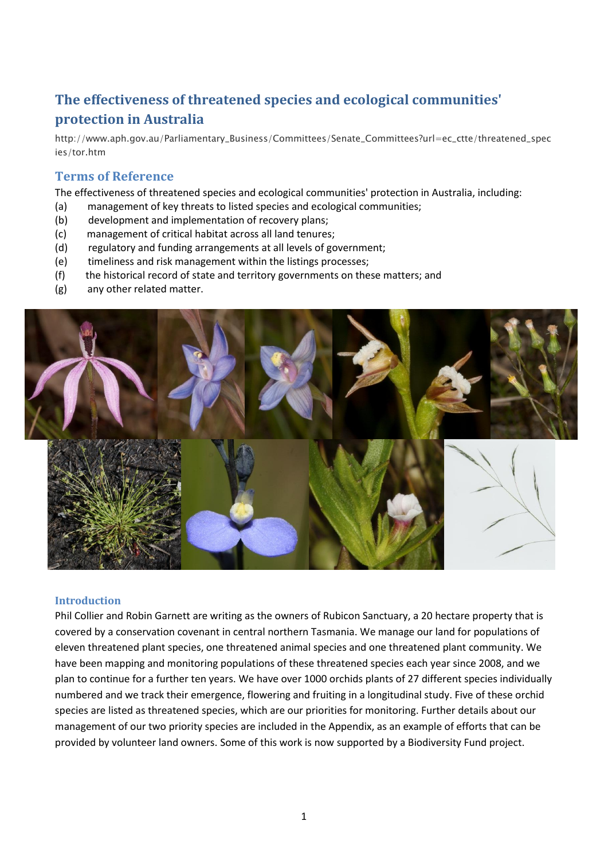# **The effectiveness of threatened species and ecological communities' protection in Australia**

http://www.aph.gov.au/Parliamentary\_Business/Committees/Senate\_Committees?url=ec\_ctte/threatened\_spec ies/tor.htm

## **Terms of Reference**

The effectiveness of threatened species and ecological communities' protection in Australia, including:

- (a) management of key threats to listed species and ecological communities;
- (b) development and implementation of recovery plans;
- (c) management of critical habitat across all land tenures;
- (d) regulatory and funding arrangements at all levels of government;
- (e) timeliness and risk management within the listings processes;
- (f) the historical record of state and territory governments on these matters; and
- (g) any other related matter.



#### **Introduction**

Phil Collier and Robin Garnett are writing as the owners of Rubicon Sanctuary, a 20 hectare property that is covered by a conservation covenant in central northern Tasmania. We manage our land for populations of eleven threatened plant species, one threatened animal species and one threatened plant community. We have been mapping and monitoring populations of these threatened species each year since 2008, and we plan to continue for a further ten years. We have over 1000 orchids plants of 27 different species individually numbered and we track their emergence, flowering and fruiting in a longitudinal study. Five of these orchid species are listed as threatened species, which are our priorities for monitoring. Further details about our management of our two priority species are included in the Appendix, as an example of efforts that can be provided by volunteer land owners. Some of this work is now supported by a Biodiversity Fund project.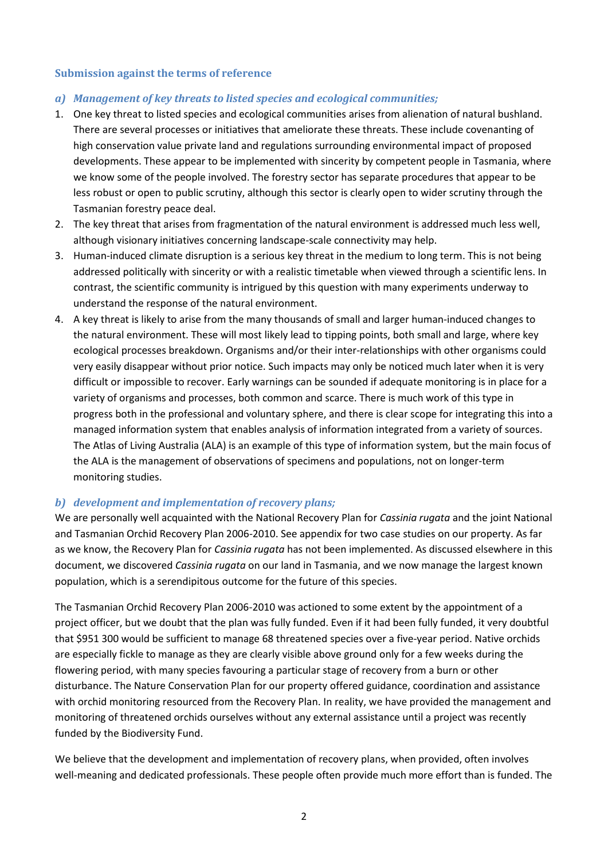#### **Submission against the terms of reference**

#### *a) Management of key threats to listed species and ecological communities;*

- 1. One key threat to listed species and ecological communities arises from alienation of natural bushland. There are several processes or initiatives that ameliorate these threats. These include covenanting of high conservation value private land and regulations surrounding environmental impact of proposed developments. These appear to be implemented with sincerity by competent people in Tasmania, where we know some of the people involved. The forestry sector has separate procedures that appear to be less robust or open to public scrutiny, although this sector is clearly open to wider scrutiny through the Tasmanian forestry peace deal.
- 2. The key threat that arises from fragmentation of the natural environment is addressed much less well, although visionary initiatives concerning landscape-scale connectivity may help.
- 3. Human-induced climate disruption is a serious key threat in the medium to long term. This is not being addressed politically with sincerity or with a realistic timetable when viewed through a scientific lens. In contrast, the scientific community is intrigued by this question with many experiments underway to understand the response of the natural environment.
- 4. A key threat is likely to arise from the many thousands of small and larger human-induced changes to the natural environment. These will most likely lead to tipping points, both small and large, where key ecological processes breakdown. Organisms and/or their inter-relationships with other organisms could very easily disappear without prior notice. Such impacts may only be noticed much later when it is very difficult or impossible to recover. Early warnings can be sounded if adequate monitoring is in place for a variety of organisms and processes, both common and scarce. There is much work of this type in progress both in the professional and voluntary sphere, and there is clear scope for integrating this into a managed information system that enables analysis of information integrated from a variety of sources. The Atlas of Living Australia (ALA) is an example of this type of information system, but the main focus of the ALA is the management of observations of specimens and populations, not on longer-term monitoring studies.

#### *b) development and implementation of recovery plans;*

We are personally well acquainted with the National Recovery Plan for *Cassinia rugata* and the joint National and Tasmanian Orchid Recovery Plan 2006-2010. See appendix for two case studies on our property. As far as we know, the Recovery Plan for *Cassinia rugata* has not been implemented. As discussed elsewhere in this document, we discovered *Cassinia rugata* on our land in Tasmania, and we now manage the largest known population, which is a serendipitous outcome for the future of this species.

The Tasmanian Orchid Recovery Plan 2006-2010 was actioned to some extent by the appointment of a project officer, but we doubt that the plan was fully funded. Even if it had been fully funded, it very doubtful that \$951 300 would be sufficient to manage 68 threatened species over a five-year period. Native orchids are especially fickle to manage as they are clearly visible above ground only for a few weeks during the flowering period, with many species favouring a particular stage of recovery from a burn or other disturbance. The Nature Conservation Plan for our property offered guidance, coordination and assistance with orchid monitoring resourced from the Recovery Plan. In reality, we have provided the management and monitoring of threatened orchids ourselves without any external assistance until a project was recently funded by the Biodiversity Fund.

We believe that the development and implementation of recovery plans, when provided, often involves well-meaning and dedicated professionals. These people often provide much more effort than is funded. The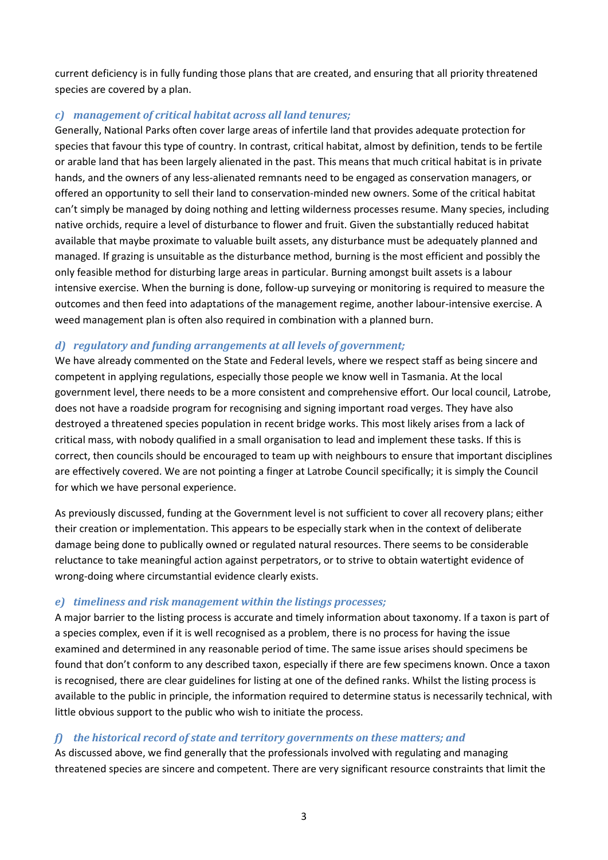current deficiency is in fully funding those plans that are created, and ensuring that all priority threatened species are covered by a plan.

#### *c) management of critical habitat across all land tenures;*

Generally, National Parks often cover large areas of infertile land that provides adequate protection for species that favour this type of country. In contrast, critical habitat, almost by definition, tends to be fertile or arable land that has been largely alienated in the past. This means that much critical habitat is in private hands, and the owners of any less-alienated remnants need to be engaged as conservation managers, or offered an opportunity to sell their land to conservation-minded new owners. Some of the critical habitat can't simply be managed by doing nothing and letting wilderness processes resume. Many species, including native orchids, require a level of disturbance to flower and fruit. Given the substantially reduced habitat available that maybe proximate to valuable built assets, any disturbance must be adequately planned and managed. If grazing is unsuitable as the disturbance method, burning is the most efficient and possibly the only feasible method for disturbing large areas in particular. Burning amongst built assets is a labour intensive exercise. When the burning is done, follow-up surveying or monitoring is required to measure the outcomes and then feed into adaptations of the management regime, another labour-intensive exercise. A weed management plan is often also required in combination with a planned burn.

#### *d) regulatory and funding arrangements at all levels of government;*

We have already commented on the State and Federal levels, where we respect staff as being sincere and competent in applying regulations, especially those people we know well in Tasmania. At the local government level, there needs to be a more consistent and comprehensive effort. Our local council, Latrobe, does not have a roadside program for recognising and signing important road verges. They have also destroyed a threatened species population in recent bridge works. This most likely arises from a lack of critical mass, with nobody qualified in a small organisation to lead and implement these tasks. If this is correct, then councils should be encouraged to team up with neighbours to ensure that important disciplines are effectively covered. We are not pointing a finger at Latrobe Council specifically; it is simply the Council for which we have personal experience.

As previously discussed, funding at the Government level is not sufficient to cover all recovery plans; either their creation or implementation. This appears to be especially stark when in the context of deliberate damage being done to publically owned or regulated natural resources. There seems to be considerable reluctance to take meaningful action against perpetrators, or to strive to obtain watertight evidence of wrong-doing where circumstantial evidence clearly exists.

#### *e) timeliness and risk management within the listings processes;*

A major barrier to the listing process is accurate and timely information about taxonomy. If a taxon is part of a species complex, even if it is well recognised as a problem, there is no process for having the issue examined and determined in any reasonable period of time. The same issue arises should specimens be found that don't conform to any described taxon, especially if there are few specimens known. Once a taxon is recognised, there are clear guidelines for listing at one of the defined ranks. Whilst the listing process is available to the public in principle, the information required to determine status is necessarily technical, with little obvious support to the public who wish to initiate the process.

#### *f) the historical record of state and territory governments on these matters; and*

As discussed above, we find generally that the professionals involved with regulating and managing threatened species are sincere and competent. There are very significant resource constraints that limit the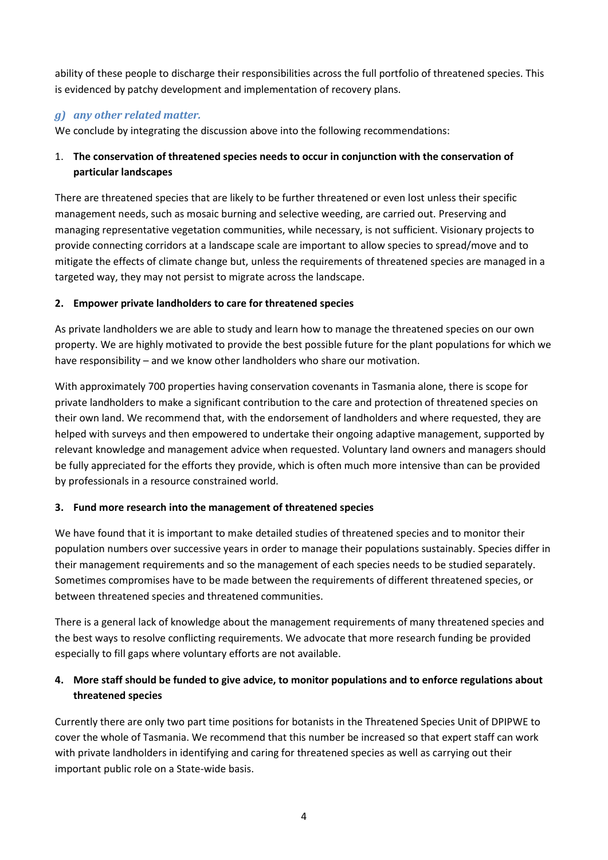ability of these people to discharge their responsibilities across the full portfolio of threatened species. This is evidenced by patchy development and implementation of recovery plans.

### *g) any other related matter.*

We conclude by integrating the discussion above into the following recommendations:

## 1. **The conservation of threatened species needs to occur in conjunction with the conservation of particular landscapes**

There are threatened species that are likely to be further threatened or even lost unless their specific management needs, such as mosaic burning and selective weeding, are carried out. Preserving and managing representative vegetation communities, while necessary, is not sufficient. Visionary projects to provide connecting corridors at a landscape scale are important to allow species to spread/move and to mitigate the effects of climate change but, unless the requirements of threatened species are managed in a targeted way, they may not persist to migrate across the landscape.

#### **2. Empower private landholders to care for threatened species**

As private landholders we are able to study and learn how to manage the threatened species on our own property. We are highly motivated to provide the best possible future for the plant populations for which we have responsibility – and we know other landholders who share our motivation.

With approximately 700 properties having conservation covenants in Tasmania alone, there is scope for private landholders to make a significant contribution to the care and protection of threatened species on their own land. We recommend that, with the endorsement of landholders and where requested, they are helped with surveys and then empowered to undertake their ongoing adaptive management, supported by relevant knowledge and management advice when requested. Voluntary land owners and managers should be fully appreciated for the efforts they provide, which is often much more intensive than can be provided by professionals in a resource constrained world.

#### **3. Fund more research into the management of threatened species**

We have found that it is important to make detailed studies of threatened species and to monitor their population numbers over successive years in order to manage their populations sustainably. Species differ in their management requirements and so the management of each species needs to be studied separately. Sometimes compromises have to be made between the requirements of different threatened species, or between threatened species and threatened communities.

There is a general lack of knowledge about the management requirements of many threatened species and the best ways to resolve conflicting requirements. We advocate that more research funding be provided especially to fill gaps where voluntary efforts are not available.

## **4. More staff should be funded to give advice, to monitor populations and to enforce regulations about threatened species**

Currently there are only two part time positions for botanists in the Threatened Species Unit of DPIPWE to cover the whole of Tasmania. We recommend that this number be increased so that expert staff can work with private landholders in identifying and caring for threatened species as well as carrying out their important public role on a State-wide basis.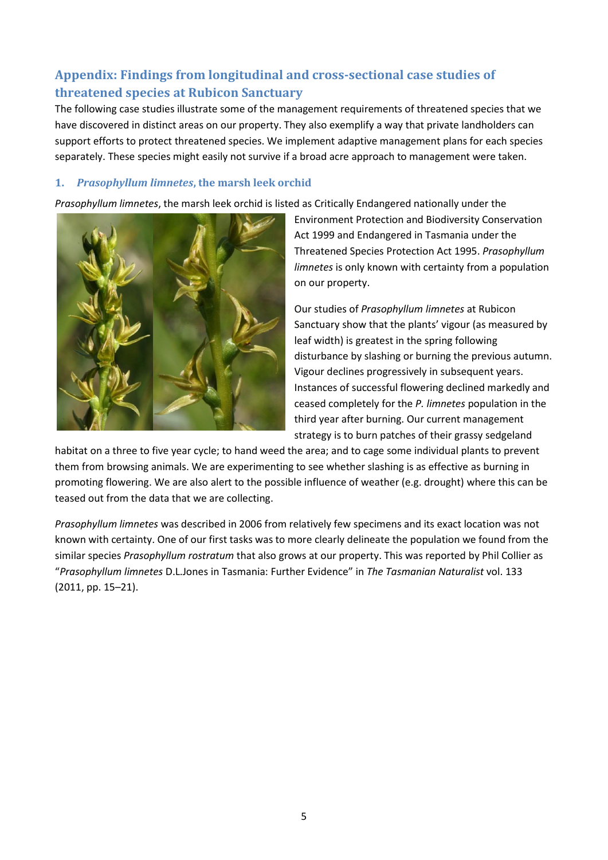## **Appendix: Findings from longitudinal and cross-sectional case studies of threatened species at Rubicon Sanctuary**

The following case studies illustrate some of the management requirements of threatened species that we have discovered in distinct areas on our property. They also exemplify a way that private landholders can support efforts to protect threatened species. We implement adaptive management plans for each species separately. These species might easily not survive if a broad acre approach to management were taken.

#### **1.** *Prasophyllum limnetes***, the marsh leek orchid**

*Prasophyllum limnetes*, the marsh leek orchid is listed as Critically Endangered nationally under the



Environment Protection and Biodiversity Conservation Act 1999 and Endangered in Tasmania under the Threatened Species Protection Act 1995. *Prasophyllum limnetes* is only known with certainty from a population on our property.

Our studies of *Prasophyllum limnetes* at Rubicon Sanctuary show that the plants' vigour (as measured by leaf width) is greatest in the spring following disturbance by slashing or burning the previous autumn. Vigour declines progressively in subsequent years. Instances of successful flowering declined markedly and ceased completely for the *P. limnetes* population in the third year after burning. Our current management strategy is to burn patches of their grassy sedgeland

habitat on a three to five year cycle; to hand weed the area; and to cage some individual plants to prevent them from browsing animals. We are experimenting to see whether slashing is as effective as burning in promoting flowering. We are also alert to the possible influence of weather (e.g. drought) where this can be teased out from the data that we are collecting.

*Prasophyllum limnetes* was described in 2006 from relatively few specimens and its exact location was not known with certainty. One of our first tasks was to more clearly delineate the population we found from the similar species *Prasophyllum rostratum* that also grows at our property. This was reported by Phil Collier as "*Prasophyllum limnetes* D.L.Jones in Tasmania: Further Evidence" in *The Tasmanian Naturalist* vol. 133 (2011, pp. 15–21).